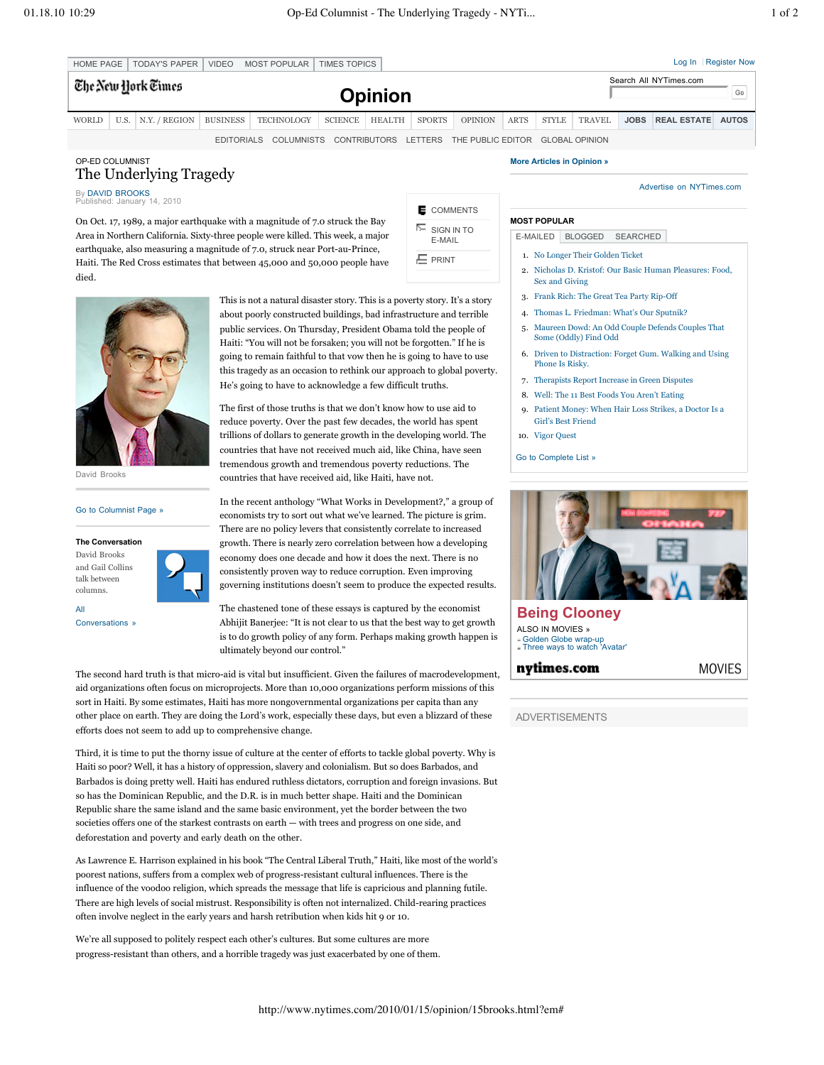| <b>HOME PAGE</b>                                                                                                                                                                                                                                                                                 | <b>TODAY'S PAPER</b> | <b>VIDEO</b>      | <b>MOST POPULAR</b> | <b>TIMES TOPICS</b> |               |                                            |                                  |                                                                                                                                                                                   |              |               |             | Log In Register Now    |              |
|--------------------------------------------------------------------------------------------------------------------------------------------------------------------------------------------------------------------------------------------------------------------------------------------------|----------------------|-------------------|---------------------|---------------------|---------------|--------------------------------------------|----------------------------------|-----------------------------------------------------------------------------------------------------------------------------------------------------------------------------------|--------------|---------------|-------------|------------------------|--------------|
| The New York Times<br><b>Opinion</b>                                                                                                                                                                                                                                                             |                      |                   |                     |                     |               |                                            |                                  |                                                                                                                                                                                   |              |               |             | Search All NYTimes.com | Go           |
| WORLD<br>U.S.                                                                                                                                                                                                                                                                                    | N.Y. / REGION        | <b>BUSINESS</b>   | <b>TECHNOLOGY</b>   | <b>SCIENCE</b>      | <b>HEALTH</b> | <b>SPORTS</b>                              | <b>OPINION</b>                   | <b>ARTS</b>                                                                                                                                                                       | <b>STYLE</b> | <b>TRAVEL</b> | <b>JOBS</b> | <b>REAL ESTATE</b>     | <b>AUTOS</b> |
|                                                                                                                                                                                                                                                                                                  |                      | <b>EDITORIALS</b> | <b>COLUMNISTS</b>   | <b>CONTRIBUTORS</b> |               | <b>LETTERS</b>                             | THE PUBLIC EDITOR GLOBAL OPINION |                                                                                                                                                                                   |              |               |             |                        |              |
| OP-ED COLUMNIST<br>The Underlying Tragedy                                                                                                                                                                                                                                                        |                      |                   |                     |                     |               |                                            |                                  | <b>More Articles in Opinion »</b>                                                                                                                                                 |              |               |             |                        |              |
| By DAVID BROOKS<br>Published: January 14, 2010<br>On Oct. 17, 1989, a major earthquake with a magnitude of 7.0 struck the Bay                                                                                                                                                                    |                      |                   |                     |                     |               | <b>E</b> COMMENTS                          |                                  | Advertise on NYTimes.com<br><b>MOST POPULAR</b>                                                                                                                                   |              |               |             |                        |              |
| Area in Northern California. Sixty-three people were killed. This week, a major<br>earthquake, also measuring a magnitude of 7.0, struck near Port-au-Prince,                                                                                                                                    |                      |                   |                     |                     |               | <b>E</b> SIGN IN TO<br>E-MAIL<br>$E$ PRINT |                                  | <b>BLOGGED</b><br><b>SEARCHED</b><br>E-MAILED<br>1. No Longer Their Golden Ticket                                                                                                 |              |               |             |                        |              |
| Haiti. The Red Cross estimates that between 45,000 and 50,000 people have<br>died.                                                                                                                                                                                                               |                      |                   |                     |                     |               |                                            |                                  | 2. Nicholas D. Kristof: Our Basic Human Pleasures: Food,<br>Sex and Giving                                                                                                        |              |               |             |                        |              |
| This is not a natural disaster story. This is a poverty story. It's a story<br>about poorly constructed buildings, bad infrastructure and terrible<br>public services. On Thursday, President Obama told the people of<br>Haiti: "You will not be forsaken; you will not be forgotten." If he is |                      |                   |                     |                     |               |                                            |                                  | Frank Rich: The Great Tea Party Rip-Off<br>3.<br>Thomas L. Friedman: What's Our Sputnik?<br>4.<br>Maureen Dowd: An Odd Couple Defends Couples That<br>5.<br>Some (Oddly) Find Odd |              |               |             |                        |              |

- 6. Driven to Distraction: Forget Gum. Walking and Using Phone Is Risky.
- 7. Therapists Report Increase in Green Disputes
- 8. Well: The 11 Best Foods You Aren't Eating
- Patient Money: When Hair Loss Strikes, a Doctor Is a Girl's Best Friend 9.
- 10. Vigor Quest

Go to Complete List »



**Being Clooney** ALSO IN MOVIES » Golden Globe wrap-up Three ways to watch 'Avatar'

nvtimes.com

**MOVIES** 

ADVERTISEMENTS

David Brooks

## Go to Columnist Page »

**The Conversation** David Brooks and Gail Collins

talk between columns.

All Conversations »



The chastened tone of these essays is captured by the economist Abhijit Banerjee: "It is not clear to us that the best way to get growth is to do growth policy of any form. Perhaps making growth happen is ultimately beyond our control."

going to remain faithful to that vow then he is going to have to use this tragedy as an occasion to rethink our approach to global poverty.

The first of those truths is that we don't know how to use aid to reduce poverty. Over the past few decades, the world has spent trillions of dollars to generate growth in the developing world. The countries that have not received much aid, like China, have seen tremendous growth and tremendous poverty reductions. The countries that have received aid, like Haiti, have not.

In the recent anthology "What Works in Development?," a group of economists try to sort out what we've learned. The picture is grim. There are no policy levers that consistently correlate to increased growth. There is nearly zero correlation between how a developing economy does one decade and how it does the next. There is no consistently proven way to reduce corruption. Even improving governing institutions doesn't seem to produce the expected results.

He's going to have to acknowledge a few difficult truths.

The second hard truth is that micro-aid is vital but insufficient. Given the failures of macrodevelopment, aid organizations often focus on microprojects. More than 10,000 organizations perform missions of this sort in Haiti. By some estimates, Haiti has more nongovernmental organizations per capita than any other place on earth. They are doing the Lord's work, especially these days, but even a blizzard of these efforts does not seem to add up to comprehensive change.

Third, it is time to put the thorny issue of culture at the center of efforts to tackle global poverty. Why is Haiti so poor? Well, it has a history of oppression, slavery and colonialism. But so does Barbados, and Barbados is doing pretty well. Haiti has endured ruthless dictators, corruption and foreign invasions. But so has the Dominican Republic, and the D.R. is in much better shape. Haiti and the Dominican Republic share the same island and the same basic environment, yet the border between the two societies offers one of the starkest contrasts on earth — with trees and progress on one side, and deforestation and poverty and early death on the other.

As Lawrence E. Harrison explained in his book "The Central Liberal Truth," Haiti, like most of the world's poorest nations, suffers from a complex web of progress-resistant cultural influences. There is the influence of the voodoo religion, which spreads the message that life is capricious and planning futile. There are high levels of social mistrust. Responsibility is often not internalized. Child-rearing practices often involve neglect in the early years and harsh retribution when kids hit 9 or 10.

We're all supposed to politely respect each other's cultures. But some cultures are more progress-resistant than others, and a horrible tragedy was just exacerbated by one of them.